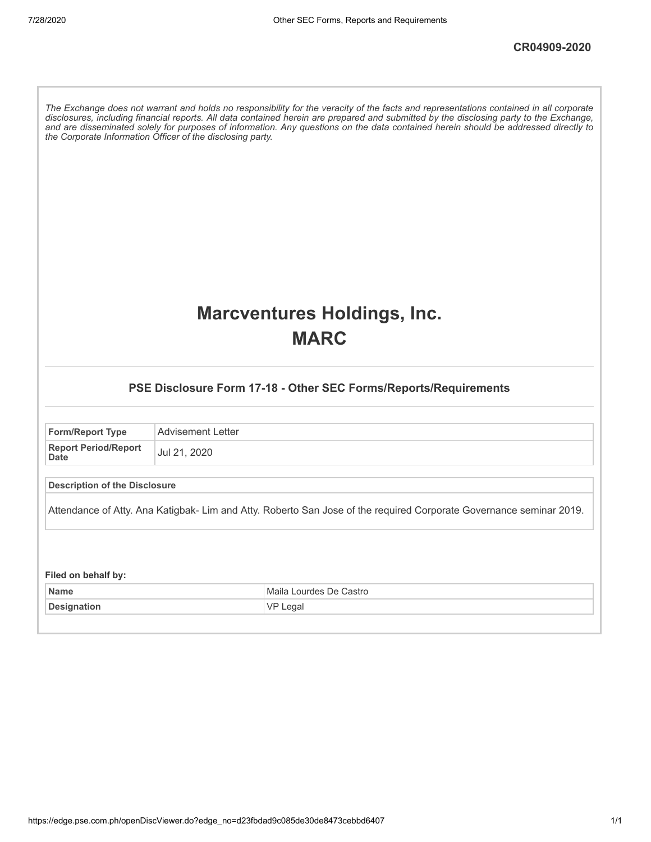The Exchange does not warrant and holds no responsibility for the veracity of the facts and representations contained in all corporate disclosures, including financial reports. All data contained herein are prepared and submitted by the disclosing party to the Exchange, and are disseminated solely for purposes of information. Any questions on the data contained herein should be addressed directly to *the Corporate Information Officer of the disclosing party.*

### **Marcventures Holdings, Inc. MARC**

### **PSE Disclosure Form 17-18 - Other SEC Forms/Reports/Requirements**

| <b>Form/Report Type</b>                    | Advisement Letter |
|--------------------------------------------|-------------------|
| <b>Report Period/Report</b><br><b>Date</b> | Jul 21, 2020      |

### **Description of the Disclosure**

Attendance of Atty. Ana Katigbak- Lim and Atty. Roberto San Jose of the required Corporate Governance seminar 2019.

#### **Filed on behalf by:**

| <b>Name</b> | Lourdes De Castro<br>Maila |
|-------------|----------------------------|
| Designation | Legal<br>VF                |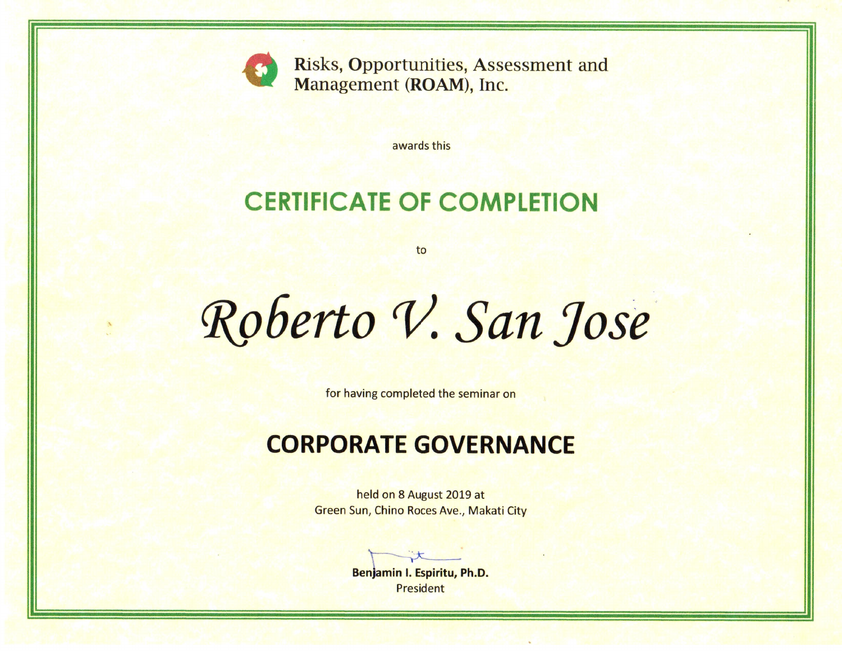

**Risks, Opportunities, Assessment and** Management (ROAM), Inc.

awards this

# **CERTIFICATE OF COMPLETION**

to

Roberto V. San Jose

for having completed the seminar on

## **CORPORATE GOVERNANCE**

held on 8 August 2019 at Green Sun, Chino Roces Ave., Makati City

Benjamin I. Espiritu, Ph.D. President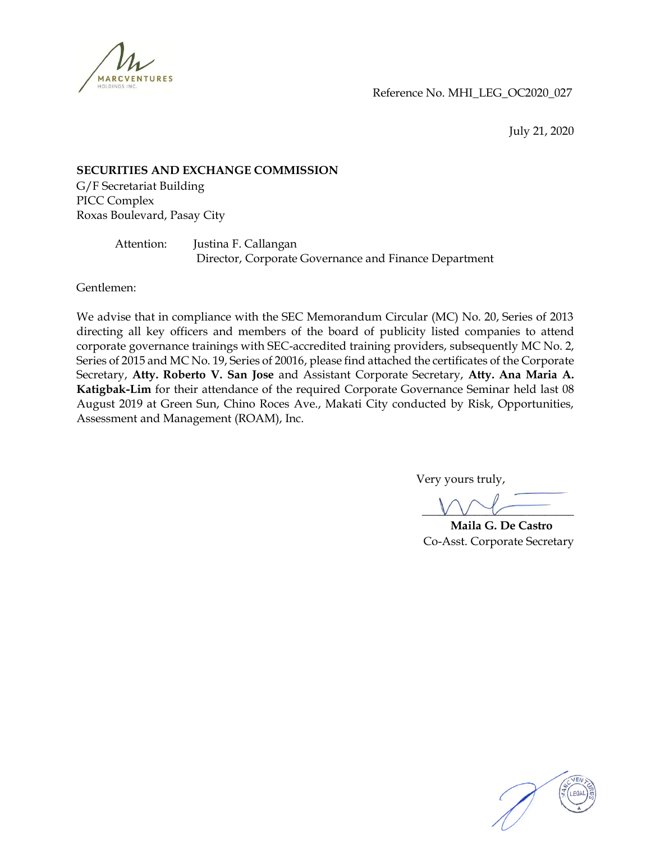

Reference No. MHI\_LEG\_OC2020\_027

July 21, 2020

### **SECURITIES AND EXCHANGE COMMISSION**

G/F Secretariat Building PICC Complex Roxas Boulevard, Pasay City

> Attention: Justina F. Callangan Director, Corporate Governance and Finance Department

Gentlemen:

We advise that in compliance with the SEC Memorandum Circular (MC) No. 20, Series of 2013 directing all key officers and members of the board of publicity listed companies to attend corporate governance trainings with SEC-accredited training providers, subsequently MC No. 2, Series of 2015 and MC No. 19, Series of 20016, please find attached the certificates of the Corporate Secretary, **Atty. Roberto V. San Jose** and Assistant Corporate Secretary, **Atty. Ana Maria A. Katigbak-Lim** for their attendance of the required Corporate Governance Seminar held last 08 August 2019 at Green Sun, Chino Roces Ave., Makati City conducted by Risk, Opportunities, Assessment and Management (ROAM), Inc.

Very yours truly,

 $VVV$ 

 **Maila G. De Castro** Co-Asst. Corporate Secretary